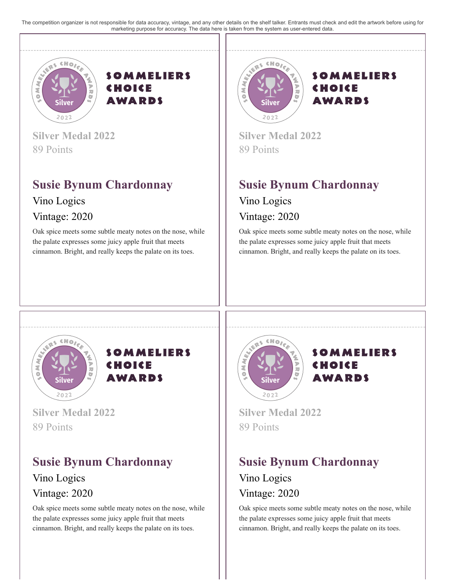The competition organizer is not responsible for data accuracy, vintage, and any other details on the shelf talker. Entrants must check and edit the artwork before using for marketing purpose for accuracy. The data here is taken from the system as user-entered data.





**Silver Medal 2022** 89 Points

## **Susie Bynum Chardonnay** Vino Logics

Vintage: 2020

Oak spice meets some subtle meaty notes on the nose, while the palate expresses some juicy apple fruit that meets cinnamon. Bright, and really keeps the palate on its toes.



#### **SOMMELIERS** CHOICE **AWARDS**

**Silver Medal 2022** 89 Points

## **Susie Bynum Chardonnay**

#### Vino Logics Vintage: 2020

Oak spice meets some subtle meaty notes on the nose, while the palate expresses some juicy apple fruit that meets cinnamon. Bright, and really keeps the palate on its toes.





**Silver Medal 2022** 89 Points

### **Susie Bynum Chardonnay** Vino Logics Vintage: 2020

Oak spice meets some subtle meaty notes on the nose, while the palate expresses some juicy apple fruit that meets cinnamon. Bright, and really keeps the palate on its toes.



**SOMMELIERS** CHOICE **AWARDS** 

**Silver Medal 2022** 89 Points

# **Susie Bynum Chardonnay**

Vino Logics Vintage: 2020

Oak spice meets some subtle meaty notes on the nose, while the palate expresses some juicy apple fruit that meets cinnamon. Bright, and really keeps the palate on its toes.